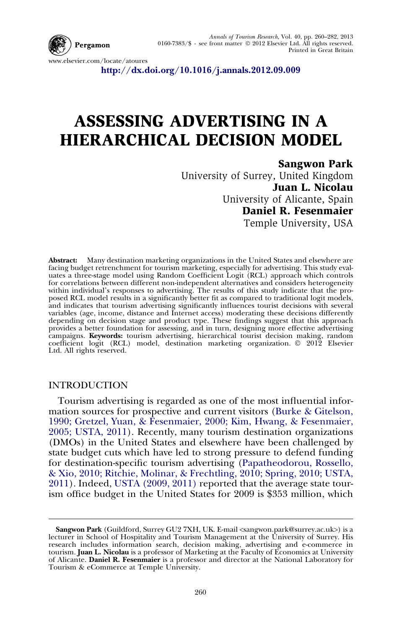

Annals of Tourism Research, Vol. 40, pp. 260–282, 2013 0160-7383/\$ - see front matter - 2012 Elsevier Ltd. All rights reserved. Printed in Great Britain

www.elsevier.com/locate/atoures

<http://dx.doi.org/10.1016/j.annals.2012.09.009>

## ASSESSING ADVERTISING IN A HIERARCHICAL DECISION MODEL

## Sangwon Park

University of Surrey, United Kingdom Juan L. Nicolau University of Alicante, Spain Daniel R. Fesenmaier Temple University, USA

Abstract: Many destination marketing organizations in the United States and elsewhere are facing budget retrenchment for tourism marketing, especially for advertising. This study evaluates a three-stage model using Random Coefficient Logit (RCL) approach which controls for correlations between different non-independent alternatives and considers heterogeneity within individual's responses to advertising. The results of this study indicate that the pro-<br>posed RCL model results in a significantly better fit as compared to traditional logit models,<br>and indicates that tourism adver variables (age, income, distance and Internet access) moderating these decisions differently depending on decision stage and product type. These findings suggest that this approach provides a better foundation for assessing, and in turn, designing more effective advertising campaigns. **Keywords:** tourism advertising, hierarchical tourist decision making, random<br>coefficient logit (RCL) model, destination marketing organization. © 2012 Elsevier Ltd. All rights reserved.

## **INTRODUCTION**

Tourism advertising is regarded as one of the most influential information sources for prospective and current visitors ([Burke & Gitelson,](#page--1-0) [1990; Gretzel, Yuan, & Fesenmaier, 2000; Kim, Hwang, & Fesenmaier,](#page--1-0) [2005; USTA, 2011\)](#page--1-0). Recently, many tourism destination organizations (DMOs) in the United States and elsewhere have been challenged by state budget cuts which have led to strong pressure to defend funding for destination-specific tourism advertising ([Papatheodorou, Rossello,](#page--1-0) [& Xio, 2010; Ritchie, Molinar, & Frechtling, 2010; Spring, 2010; USTA,](#page--1-0) [2011](#page--1-0)). Indeed, [USTA \(2009, 2011\)](#page--1-0) reported that the average state tourism office budget in the United States for 2009 is \$353 million, which

Sangwon Park (Guildford, Surrey GU2 7XH, UK. E-mail <sangwon.park@surrey.ac.uk>) is a lecturer in School of Hospitality and Tourism Management at the University of Surrey. His research includes information search, decision making, advertising and e-commerce in<br>tourism. **Juan L. Nicolau** is a professor of Marketing at the Faculty of Economics at University of Alicante. Daniel R. Fesenmaier is a professor and director at the National Laboratory for Tourism & eCommerce at Temple University.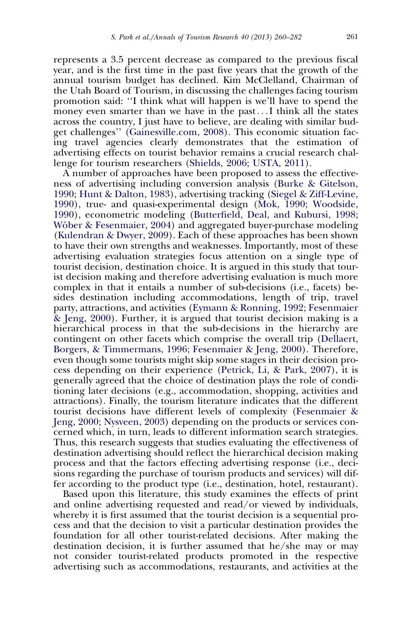represents a 3.5 percent decrease as compared to the previous fiscal year, and is the first time in the past five years that the growth of the annual tourism budget has declined. Kim McClelland, Chairman of the Utah Board of Tourism, in discussing the challenges facing tourism promotion said: ''I think what will happen is we'll have to spend the money even smarter than we have in the past...I think all the states across the country, I just have to believe, are dealing with similar budget challenges'' [\(Gainesville.com, 2008](#page--1-0)). This economic situation facing travel agencies clearly demonstrates that the estimation of advertising effects on tourist behavior remains a crucial research challenge for tourism researchers ([Shields, 2006; USTA, 2011](#page--1-0)).

A number of approaches have been proposed to assess the effectiveness of advertising including conversion analysis [\(Burke & Gitelson,](#page--1-0) [1990; Hunt & Dalton, 1983](#page--1-0)), advertising tracking [\(Siegel & Ziff-Levine,](#page--1-0) [1990](#page--1-0)), true- and quasi-experimental design [\(Mok, 1990; Woodside,](#page--1-0) [1990](#page--1-0)), econometric modeling [\(Butterfield, Deal, and Kubursi, 1998;](#page--1-0) Wöber & Fesenmaier, 2004) and aggregated buyer-purchase modeling [\(Kulendran & Dwyer, 2009\)](#page--1-0). Each of these approaches has been shown to have their own strengths and weaknesses. Importantly, most of these advertising evaluation strategies focus attention on a single type of tourist decision, destination choice. It is argued in this study that tourist decision making and therefore advertising evaluation is much more complex in that it entails a number of sub-decisions (i.e., facets) besides destination including accommodations, length of trip, travel party, attractions, and activities [\(Eymann & Ronning, 1992; Fesenmaier](#page--1-0) [& Jeng, 2000\)](#page--1-0). Further, it is argued that tourist decision making is a hierarchical process in that the sub-decisions in the hierarchy are contingent on other facets which comprise the overall trip [\(Dellaert,](#page--1-0) [Borgers, & Timmermans, 1996; Fesenmaier & Jeng, 2000\)](#page--1-0). Therefore, even though some tourists might skip some stages in their decision process depending on their experience [\(Petrick, Li, & Park, 2007\)](#page--1-0), it is generally agreed that the choice of destination plays the role of conditioning later decisions (e.g., accommodation, shopping, activities and attractions). Finally, the tourism literature indicates that the different tourist decisions have different levels of complexity ([Fesenmaier &](#page--1-0) [Jeng, 2000; Nysveen, 2003\)](#page--1-0) depending on the products or services concerned which, in turn, leads to different information search strategies. Thus, this research suggests that studies evaluating the effectiveness of destination advertising should reflect the hierarchical decision making process and that the factors effecting advertising response (i.e., decisions regarding the purchase of tourism products and services) will differ according to the product type (i.e., destination, hotel, restaurant).

Based upon this literature, this study examines the effects of print and online advertising requested and read/or viewed by individuals, whereby it is first assumed that the tourist decision is a sequential process and that the decision to visit a particular destination provides the foundation for all other tourist-related decisions. After making the destination decision, it is further assumed that he/she may or may not consider tourist-related products promoted in the respective advertising such as accommodations, restaurants, and activities at the